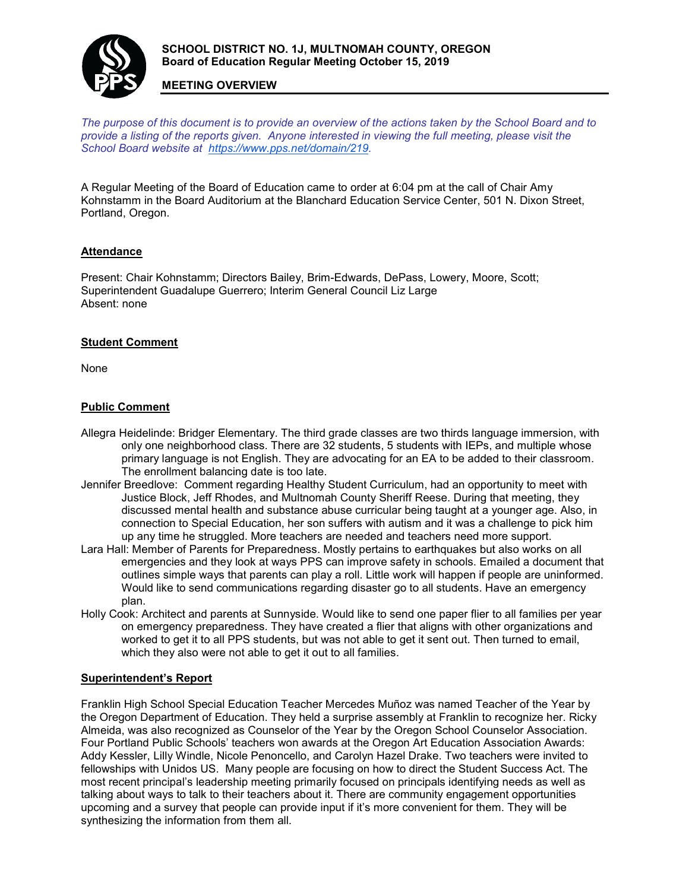

# **MEETING OVERVIEW**

*The purpose of this document is to provide an overview of the actions taken by the School Board and to provide a listing of the reports given. Anyone interested in viewing the full meeting, please visit the School Board website at [https://www.pps.net/domain/219.](https://www.pps.net/domain/219)*

A Regular Meeting of the Board of Education came to order at 6:04 pm at the call of Chair Amy Kohnstamm in the Board Auditorium at the Blanchard Education Service Center, 501 N. Dixon Street, Portland, Oregon.

### **Attendance**

Present: Chair Kohnstamm; Directors Bailey, Brim-Edwards, DePass, Lowery, Moore, Scott; Superintendent Guadalupe Guerrero; Interim General Council Liz Large Absent: none

### **Student Comment**

None

### **Public Comment**

- Allegra Heidelinde: Bridger Elementary. The third grade classes are two thirds language immersion, with only one neighborhood class. There are 32 students, 5 students with IEPs, and multiple whose primary language is not English. They are advocating for an EA to be added to their classroom. The enrollment balancing date is too late.
- Jennifer Breedlove: Comment regarding Healthy Student Curriculum, had an opportunity to meet with Justice Block, Jeff Rhodes, and Multnomah County Sheriff Reese. During that meeting, they discussed mental health and substance abuse curricular being taught at a younger age. Also, in connection to Special Education, her son suffers with autism and it was a challenge to pick him up any time he struggled. More teachers are needed and teachers need more support.
- Lara Hall: Member of Parents for Preparedness. Mostly pertains to earthquakes but also works on all emergencies and they look at ways PPS can improve safety in schools. Emailed a document that outlines simple ways that parents can play a roll. Little work will happen if people are uninformed. Would like to send communications regarding disaster go to all students. Have an emergency plan.
- Holly Cook: Architect and parents at Sunnyside. Would like to send one paper flier to all families per year on emergency preparedness. They have created a flier that aligns with other organizations and worked to get it to all PPS students, but was not able to get it sent out. Then turned to email, which they also were not able to get it out to all families.

#### **Superintendent's Report**

Franklin High School Special Education Teacher Mercedes Muñoz was named Teacher of the Year by the Oregon Department of Education. They held a surprise assembly at Franklin to recognize her. Ricky Almeida, was also recognized as Counselor of the Year by the Oregon School Counselor Association. Four Portland Public Schools' teachers won awards at the Oregon Art Education Association Awards: Addy Kessler, Lilly Windle, Nicole Penoncello, and Carolyn Hazel Drake. Two teachers were invited to fellowships with Unidos US. Many people are focusing on how to direct the Student Success Act. The most recent principal's leadership meeting primarily focused on principals identifying needs as well as talking about ways to talk to their teachers about it. There are community engagement opportunities upcoming and a survey that people can provide input if it's more convenient for them. They will be synthesizing the information from them all.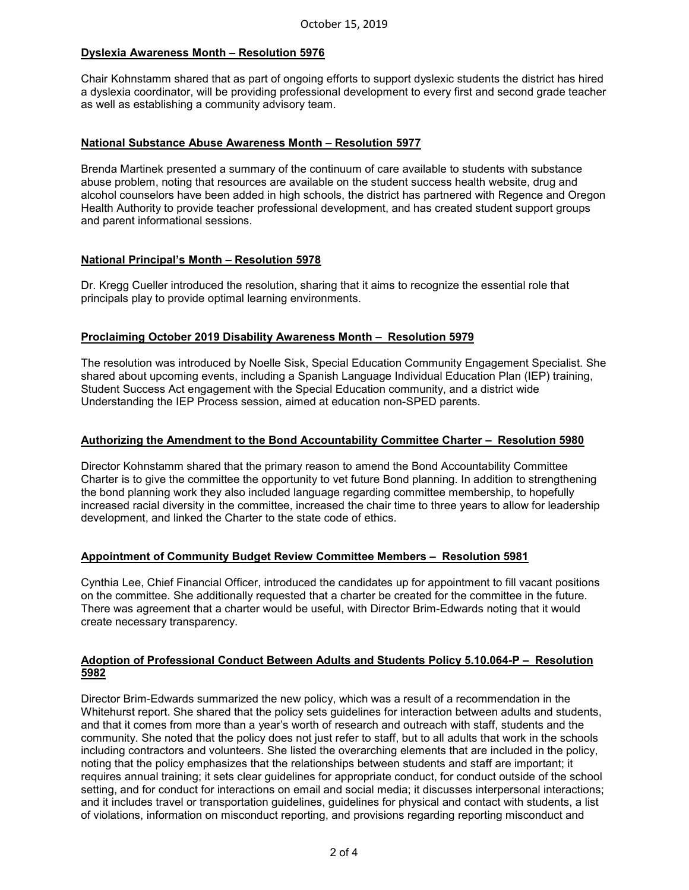# **Dyslexia Awareness Month – Resolution 5976**

Chair Kohnstamm shared that as part of ongoing efforts to support dyslexic students the district has hired a dyslexia coordinator, will be providing professional development to every first and second grade teacher as well as establishing a community advisory team.

### **National Substance Abuse Awareness Month – Resolution 5977**

Brenda Martinek presented a summary of the continuum of care available to students with substance abuse problem, noting that resources are available on the student success health website, drug and alcohol counselors have been added in high schools, the district has partnered with Regence and Oregon Health Authority to provide teacher professional development, and has created student support groups and parent informational sessions.

# **National Principal's Month – Resolution 5978**

Dr. Kregg Cueller introduced the resolution, sharing that it aims to recognize the essential role that principals play to provide optimal learning environments.

# **Proclaiming October 2019 Disability Awareness Month – Resolution 5979**

The resolution was introduced by Noelle Sisk, Special Education Community Engagement Specialist. She shared about upcoming events, including a Spanish Language Individual Education Plan (IEP) training, Student Success Act engagement with the Special Education community, and a district wide Understanding the IEP Process session, aimed at education non-SPED parents.

#### **Authorizing the Amendment to the Bond Accountability Committee Charter – Resolution 5980**

Director Kohnstamm shared that the primary reason to amend the Bond Accountability Committee Charter is to give the committee the opportunity to vet future Bond planning. In addition to strengthening the bond planning work they also included language regarding committee membership, to hopefully increased racial diversity in the committee, increased the chair time to three years to allow for leadership development, and linked the Charter to the state code of ethics.

# **Appointment of Community Budget Review Committee Members – Resolution 5981**

Cynthia Lee, Chief Financial Officer, introduced the candidates up for appointment to fill vacant positions on the committee. She additionally requested that a charter be created for the committee in the future. There was agreement that a charter would be useful, with Director Brim-Edwards noting that it would create necessary transparency.

#### **Adoption of Professional Conduct Between Adults and Students Policy 5.10.064-P – Resolution 5982**

Director Brim-Edwards summarized the new policy, which was a result of a recommendation in the Whitehurst report. She shared that the policy sets guidelines for interaction between adults and students, and that it comes from more than a year's worth of research and outreach with staff, students and the community. She noted that the policy does not just refer to staff, but to all adults that work in the schools including contractors and volunteers. She listed the overarching elements that are included in the policy, noting that the policy emphasizes that the relationships between students and staff are important; it requires annual training; it sets clear guidelines for appropriate conduct, for conduct outside of the school setting, and for conduct for interactions on email and social media; it discusses interpersonal interactions; and it includes travel or transportation guidelines, guidelines for physical and contact with students, a list of violations, information on misconduct reporting, and provisions regarding reporting misconduct and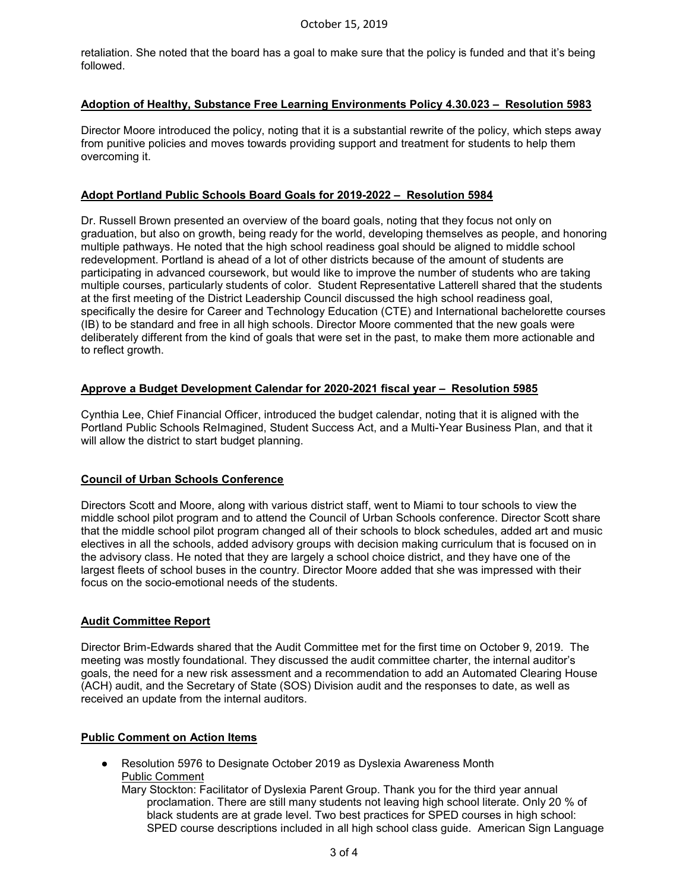retaliation. She noted that the board has a goal to make sure that the policy is funded and that it's being followed.

# **Adoption of Healthy, Substance Free Learning Environments Policy 4.30.023 – Resolution 5983**

Director Moore introduced the policy, noting that it is a substantial rewrite of the policy, which steps away from punitive policies and moves towards providing support and treatment for students to help them overcoming it.

#### **Adopt Portland Public Schools Board Goals for 2019-2022 – Resolution 5984**

Dr. Russell Brown presented an overview of the board goals, noting that they focus not only on graduation, but also on growth, being ready for the world, developing themselves as people, and honoring multiple pathways. He noted that the high school readiness goal should be aligned to middle school redevelopment. Portland is ahead of a lot of other districts because of the amount of students are participating in advanced coursework, but would like to improve the number of students who are taking multiple courses, particularly students of color. Student Representative Latterell shared that the students at the first meeting of the District Leadership Council discussed the high school readiness goal, specifically the desire for Career and Technology Education (CTE) and International bachelorette courses (IB) to be standard and free in all high schools. Director Moore commented that the new goals were deliberately different from the kind of goals that were set in the past, to make them more actionable and to reflect growth.

### **Approve a Budget Development Calendar for 2020-2021 fiscal year – Resolution 5985**

Cynthia Lee, Chief Financial Officer, introduced the budget calendar, noting that it is aligned with the Portland Public Schools ReImagined, Student Success Act, and a Multi-Year Business Plan, and that it will allow the district to start budget planning.

# **Council of Urban Schools Conference**

Directors Scott and Moore, along with various district staff, went to Miami to tour schools to view the middle school pilot program and to attend the Council of Urban Schools conference. Director Scott share that the middle school pilot program changed all of their schools to block schedules, added art and music electives in all the schools, added advisory groups with decision making curriculum that is focused on in the advisory class. He noted that they are largely a school choice district, and they have one of the largest fleets of school buses in the country. Director Moore added that she was impressed with their focus on the socio-emotional needs of the students.

#### **Audit Committee Report**

Director Brim-Edwards shared that the Audit Committee met for the first time on October 9, 2019. The meeting was mostly foundational. They discussed the audit committee charter, the internal auditor's goals, the need for a new risk assessment and a recommendation to add an Automated Clearing House (ACH) audit, and the Secretary of State (SOS) Division audit and the responses to date, as well as received an update from the internal auditors.

#### **Public Comment on Action Items**

● Resolution 5976 to Designate October 2019 as Dyslexia Awareness Month Public Comment

Mary Stockton: Facilitator of Dyslexia Parent Group. Thank you for the third year annual proclamation. There are still many students not leaving high school literate. Only 20 % of black students are at grade level. Two best practices for SPED courses in high school: SPED course descriptions included in all high school class guide. American Sign Language